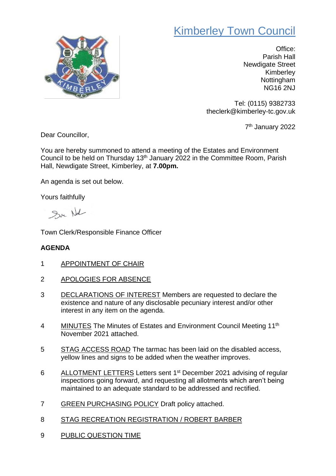## Kimberley Town Council



Office: Parish Hall Newdigate Street Kimberley Nottingham NG16 2NJ

Tel: (0115) 9382733 theclerk@kimberley-tc.gov.uk

7<sup>th</sup> January 2022

Dear Councillor,

You are hereby summoned to attend a meeting of the Estates and Environment Council to be held on Thursday 13th January 2022 in the Committee Room, Parish Hall, Newdigate Street, Kimberley, at **7.00pm.**

An agenda is set out below.

Yours faithfully

Su Nal

Town Clerk/Responsible Finance Officer

## **AGENDA**

- 1 APPOINTMENT OF CHAIR
- 2 APOLOGIES FOR ABSENCE
- 3 DECLARATIONS OF INTEREST Members are requested to declare the existence and nature of any disclosable pecuniary interest and/or other interest in any item on the agenda.
- 4 MINUTES The Minutes of Estates and Environment Council Meeting 11<sup>th</sup> November 2021 attached.
- 5 STAG ACCESS ROAD The tarmac has been laid on the disabled access, yellow lines and signs to be added when the weather improves.
- 6 ALLOTMENT LETTERS Letters sent 1<sup>st</sup> December 2021 advising of regular inspections going forward, and requesting all allotments which aren't being maintained to an adequate standard to be addressed and rectified.
- 7 GREEN PURCHASING POLICY Draft policy attached.
- 8 STAG RECREATION REGISTRATION / ROBERT BARBER
- 9 PUBLIC QUESTION TIME